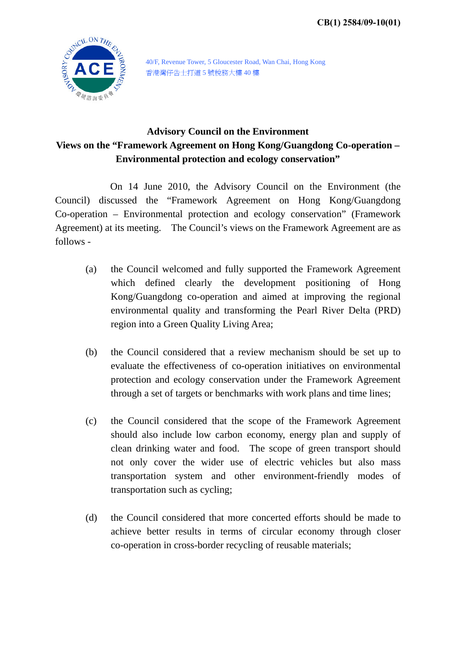

40/F, Revenue Tower, 5 Gloucester Road, Wan Chai, Hong Kong 香港灣仔告士打道 5 號稅務大樓 40 樓

## **Advisory Council on the Environment Views on the "Framework Agreement on Hong Kong/Guangdong Co-operation – Environmental protection and ecology conservation"**

 On 14 June 2010, the Advisory Council on the Environment (the Council) discussed the "Framework Agreement on Hong Kong/Guangdong Co-operation – Environmental protection and ecology conservation" (Framework Agreement) at its meeting. The Council's views on the Framework Agreement are as follows -

- (a) the Council welcomed and fully supported the Framework Agreement which defined clearly the development positioning of Hong Kong/Guangdong co-operation and aimed at improving the regional environmental quality and transforming the Pearl River Delta (PRD) region into a Green Quality Living Area;
- (b) the Council considered that a review mechanism should be set up to evaluate the effectiveness of co-operation initiatives on environmental protection and ecology conservation under the Framework Agreement through a set of targets or benchmarks with work plans and time lines;
- (c) the Council considered that the scope of the Framework Agreement should also include low carbon economy, energy plan and supply of clean drinking water and food. The scope of green transport should not only cover the wider use of electric vehicles but also mass transportation system and other environment-friendly modes of transportation such as cycling;
- (d) the Council considered that more concerted efforts should be made to achieve better results in terms of circular economy through closer co-operation in cross-border recycling of reusable materials;